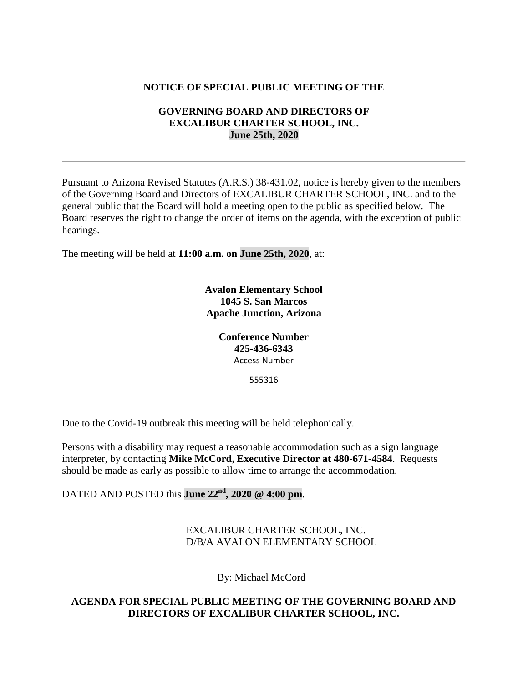## **NOTICE OF SPECIAL PUBLIC MEETING OF THE**

## **GOVERNING BOARD AND DIRECTORS OF EXCALIBUR CHARTER SCHOOL, INC. June 25th, 2020**

Pursuant to Arizona Revised Statutes (A.R.S.) 38-431.02, notice is hereby given to the members of the Governing Board and Directors of EXCALIBUR CHARTER SCHOOL, INC. and to the general public that the Board will hold a meeting open to the public as specified below. The Board reserves the right to change the order of items on the agenda, with the exception of public hearings.

The meeting will be held at **11:00 a.m. on June 25th, 2020**, at:

**Avalon Elementary School 1045 S. San Marcos Apache Junction, Arizona**

> **Conference Number 425-436-6343** Access Number

> > 555316

Due to the Covid-19 outbreak this meeting will be held telephonically.

Persons with a disability may request a reasonable accommodation such as a sign language interpreter, by contacting **Mike McCord, Executive Director at 480-671-4584**. Requests should be made as early as possible to allow time to arrange the accommodation.

DATED AND POSTED this **June 22nd, 2020 @ 4:00 pm**.

EXCALIBUR CHARTER SCHOOL, INC. D/B/A AVALON ELEMENTARY SCHOOL

By: Michael McCord

**AGENDA FOR SPECIAL PUBLIC MEETING OF THE GOVERNING BOARD AND DIRECTORS OF EXCALIBUR CHARTER SCHOOL, INC.**